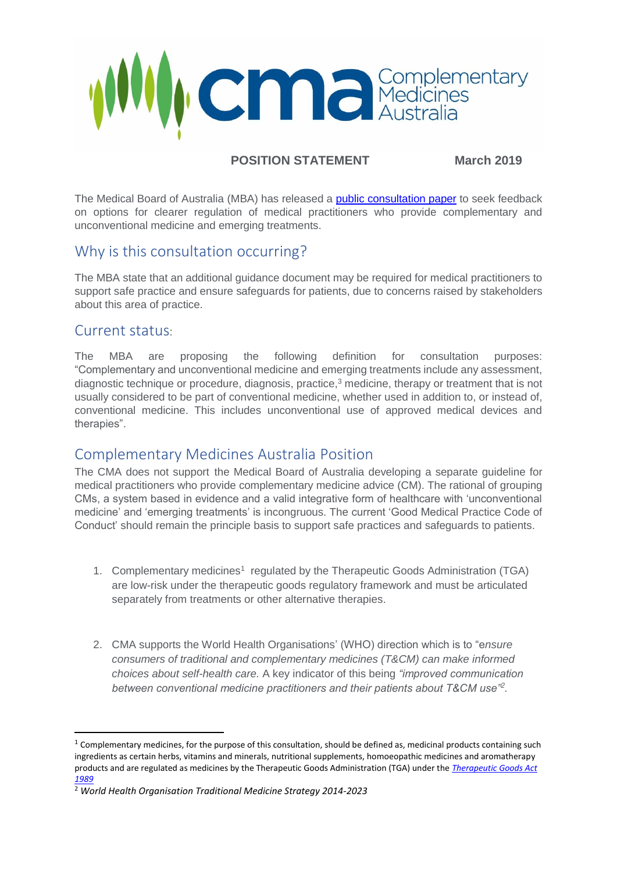

## **POSITION STATEMENT March 2019**

The Medical Board of Australia (MBA) has released a [public consultation paper](file:///C:/Users/Technical/Downloads/Medical-Board---Consultation---Public-consultation-on-complementary-and-unconventional-medicine-and-emerging-treatments%20(2).PDF) to seek feedback on options for clearer regulation of medical practitioners who provide complementary and unconventional medicine and emerging treatments.

## Why is this consultation occurring?

The MBA state that an additional guidance document may be required for medical practitioners to support safe practice and ensure safeguards for patients, due to concerns raised by stakeholders about this area of practice.

## Current status:

1

The MBA are proposing the following definition for consultation purposes: "Complementary and unconventional medicine and emerging treatments include any assessment, diagnostic technique or procedure, diagnosis, practice,<sup>3</sup> medicine, therapy or treatment that is not usually considered to be part of conventional medicine, whether used in addition to, or instead of, conventional medicine. This includes unconventional use of approved medical devices and therapies".

## Complementary Medicines Australia Position

The CMA does not support the Medical Board of Australia developing a separate guideline for medical practitioners who provide complementary medicine advice (CM). The rational of grouping CMs, a system based in evidence and a valid integrative form of healthcare with 'unconventional medicine' and 'emerging treatments' is incongruous. The current 'Good Medical Practice Code of Conduct' should remain the principle basis to support safe practices and safeguards to patients.

- 1. Complementary medicines<sup>1</sup> regulated by the Therapeutic Goods Administration (TGA) are low-risk under the therapeutic goods regulatory framework and must be articulated separately from treatments or other alternative therapies.
- 2. CMA supports the World Health Organisations' (WHO) direction which is to "e*nsure consumers of traditional and complementary medicines (T&CM) can make informed choices about self-health care.* A key indicator of this being *"improved communication between conventional medicine practitioners and their patients about T&CM use"<sup>2</sup> .*

 $1$  Complementary medicines, for the purpose of this consultation, should be defined as, medicinal products containing such ingredients as certain herbs, vitamins and minerals, nutritional supplements, homoeopathic medicines and aromatherapy products and are regulated as medicines by the Therapeutic Goods Administration (TGA) under the *[Therapeutic Goods Act](https://www.legislation.gov.au/Series/C2004A03952)  [1989](https://www.legislation.gov.au/Series/C2004A03952)*

<sup>2</sup> *World Health Organisation Traditional Medicine Strategy 2014-2023*